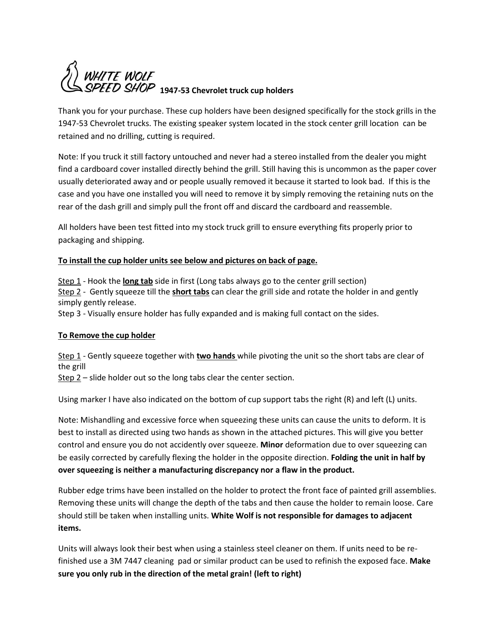

Thank you for your purchase. These cup holders have been designed specifically for the stock grills in the 1947-53 Chevrolet trucks. The existing speaker system located in the stock center grill location can be retained and no drilling, cutting is required.

Note: If you truck it still factory untouched and never had a stereo installed from the dealer you might find a cardboard cover installed directly behind the grill. Still having this is uncommon as the paper cover usually deteriorated away and or people usually removed it because it started to look bad. If this is the case and you have one installed you will need to remove it by simply removing the retaining nuts on the rear of the dash grill and simply pull the front off and discard the cardboard and reassemble.

All holders have been test fitted into my stock truck grill to ensure everything fits properly prior to packaging and shipping.

## **To install the cup holder units see below and pictures on back of page.**

Step 1 - Hook the **long tab** side in first (Long tabs always go to the center grill section) Step 2 - Gently squeeze till the **short tabs** can clear the grill side and rotate the holder in and gently simply gently release.

Step 3 - Visually ensure holder has fully expanded and is making full contact on the sides.

## **To Remove the cup holder**

Step 1 - Gently squeeze together with **two hands** while pivoting the unit so the short tabs are clear of the grill

 $Step 2 - slide holder out so the long tabs clear the center section.$ 

Using marker I have also indicated on the bottom of cup support tabs the right (R) and left (L) units.

Note: Mishandling and excessive force when squeezing these units can cause the units to deform. It is best to install as directed using two hands as shown in the attached pictures. This will give you better control and ensure you do not accidently over squeeze. **Minor** deformation due to over squeezing can be easily corrected by carefully flexing the holder in the opposite direction. **Folding the unit in half by over squeezing is neither a manufacturing discrepancy nor a flaw in the product.** 

Rubber edge trims have been installed on the holder to protect the front face of painted grill assemblies. Removing these units will change the depth of the tabs and then cause the holder to remain loose. Care should still be taken when installing units. **White Wolf is not responsible for damages to adjacent items.** 

Units will always look their best when using a stainless steel cleaner on them. If units need to be refinished use a 3M 7447 cleaning pad or similar product can be used to refinish the exposed face. **Make sure you only rub in the direction of the metal grain! (left to right)**